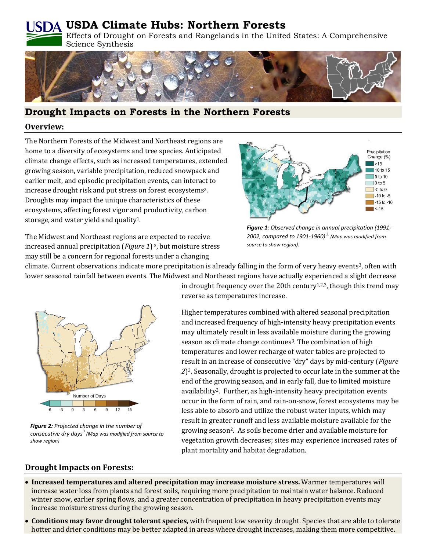# **USDA Climate Hubs: Northern Forests**

Effects of Drought on Forests and Rangelands in the United States: A Comprehensive Science Synthesis



# **Drought Impacts on Forests in the Northern Forests**

#### **Overview:**

The Northern Forests of the Midwest and Northeast regions are home to a diversity of ecosystems and tree species. Anticipated climate change effects, such as increased temperatures, extended growing season, variable precipitation, reduced snowpack and earlier melt, and episodic precipitation events, can interact to increase drought risk and put stress on forest ecosystems2. Droughts may impact the unique characteristics of these ecosystems, affecting forest vigor and productivity, carbon storage, and water yield and quality1.

The Midwest and Northeast regions are expected to receive increased annual precipitation (*Figure 1*) 3, but moisture stress may still be a concern for regional forests under a changing



*Figure 1: Observed change in annual precipitation (1991- 2002, compared to 1901-1960) 3. (Map was modified from source to show region).*

climate. Current observations indicate more precipitation is already falling in the form of very heavy events<sup>3</sup>, often with lower seasonal rainfall between events. The Midwest and Northeast regions have actually experienced a slight decrease



*Figure 2: Projected change in the number of consecutive dry days<sup>3</sup> (Map was modified from source to show region)*

in drought frequency over the 20th century<sup>1,2,3</sup>, though this trend may reverse as temperatures increase.

Higher temperatures combined with altered seasonal precipitation and increased frequency of high-intensity heavy precipitation events may ultimately result in less available moisture during the growing season as climate change continues<sup>3</sup>. The combination of high temperatures and lower recharge of water tables are projected to result in an increase of consecutive "dry" days by mid-century (*Figure 2*)3. Seasonally, drought is projected to occur late in the summer at the end of the growing season, and in early fall, due to limited moisture availability2. Further, as high-intensity heavy precipitation events occur in the form of rain, and rain-on-snow, forest ecosystems may be less able to absorb and utilize the robust water inputs, which may result in greater runoff and less available moisture available for the growing season2. As soils become drier and available moisture for vegetation growth decreases; sites may experience increased rates of plant mortality and habitat degradation.

## **Drought Impacts on Forests:**

- **Increased temperatures and altered precipitation may increase moisture stress.** Warmer temperatures will increase water loss from plants and forest soils, requiring more precipitation to maintain water balance. Reduced winter snow, earlier spring flows, and a greater concentration of precipitation in heavy precipitation events may increase moisture stress during the growing season.
- **Conditions may favor drought tolerant species,** with frequent low severity drought. Species that are able to tolerate hotter and drier conditions may be better adapted in areas where drought increases, making them more competitive.